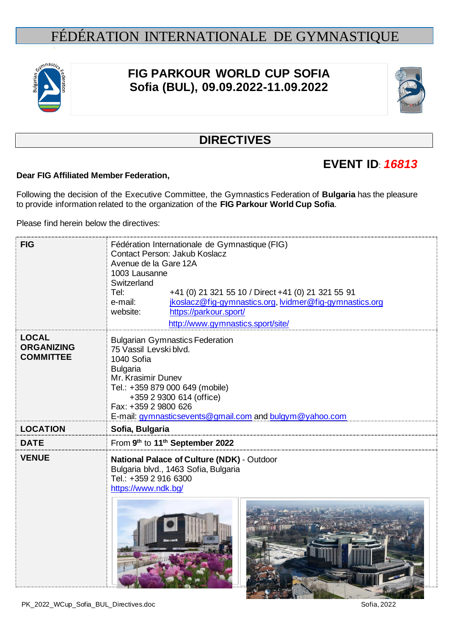

# **FIG PARKOUR WORLD CUP SOFIA Sofia (BUL), 09.09.2022-11.09.2022**



## **DIRECTIVES**

# **EVENT ID**: *16813*

### **Dear FIG Affiliated Member Federation,**

Following the decision of the Executive Committee, the Gymnastics Federation of **Bulgaria** has the pleasure to provide information related to the organization of the **FIG Parkour World Cup Sofia**.

Please find herein below the directives:

| <b>FIG</b>                                            | Fédération Internationale de Gymnastique (FIG)<br>Contact Person: Jakub Koslacz<br>Avenue de la Gare 12A<br>1003 Lausanne<br>Switzerland<br>Tel:<br>+41 (0) 21 321 55 10 / Direct +41 (0) 21 321 55 91<br>jkoslacz@fig-gymnastics.org, lvidmer@fig-gymnastics.org<br>e-mail:<br>https://parkour.sport/<br>website:<br>http://www.gymnastics.sport/site/ |  |  |
|-------------------------------------------------------|---------------------------------------------------------------------------------------------------------------------------------------------------------------------------------------------------------------------------------------------------------------------------------------------------------------------------------------------------------|--|--|
| <b>LOCAL</b><br><b>ORGANIZING</b><br><b>COMMITTEE</b> | <b>Bulgarian Gymnastics Federation</b><br>75 Vassil Levski blvd.<br>1040 Sofia<br><b>Bulgaria</b><br>Mr. Krasimir Dunev<br>Tel.: +359 879 000 649 (mobile)<br>+359 2 9300 614 (office)<br>Fax: +359 2 9800 626<br>E-mail: gymnasticsevents@gmail.com and bulgym@yahoo.com                                                                               |  |  |
| <b>LOCATION</b>                                       | Sofia, Bulgaria                                                                                                                                                                                                                                                                                                                                         |  |  |
| <b>DATE</b>                                           | From 9th to 11th September 2022                                                                                                                                                                                                                                                                                                                         |  |  |
| <b>VENUE</b>                                          | National Palace of Culture (NDK) - Outdoor<br>Bulgaria blvd., 1463 Sofia, Bulgaria<br>Tel.: +359 2 916 6300<br>https://www.ndk.bg/                                                                                                                                                                                                                      |  |  |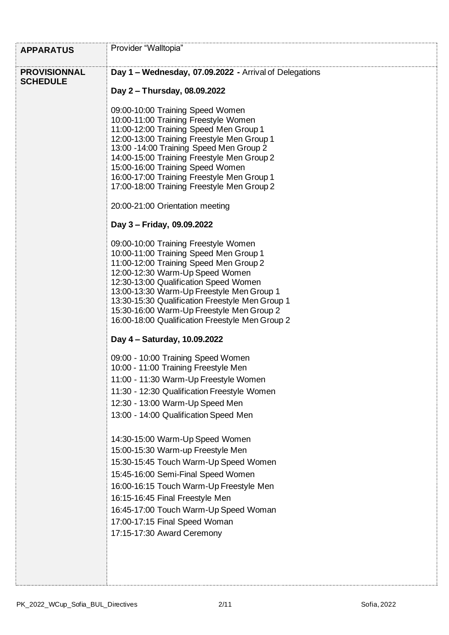| <b>APPARATUS</b>    | Provider "Walltopia"                                                                  |  |  |
|---------------------|---------------------------------------------------------------------------------------|--|--|
| <b>PROVISIONNAL</b> | Day 1 - Wednesday, 07.09.2022 - Arrival of Delegations                                |  |  |
| <b>SCHEDULE</b>     |                                                                                       |  |  |
|                     | Day 2 - Thursday, 08.09.2022                                                          |  |  |
|                     | 09:00-10:00 Training Speed Women                                                      |  |  |
|                     | 10:00-11:00 Training Freestyle Women                                                  |  |  |
|                     | 11:00-12:00 Training Speed Men Group 1                                                |  |  |
|                     | 12:00-13:00 Training Freestyle Men Group 1                                            |  |  |
|                     | 13:00 -14:00 Training Speed Men Group 2<br>14:00-15:00 Training Freestyle Men Group 2 |  |  |
|                     | 15:00-16:00 Training Speed Women                                                      |  |  |
|                     | 16:00-17:00 Training Freestyle Men Group 1                                            |  |  |
|                     | 17:00-18:00 Training Freestyle Men Group 2                                            |  |  |
|                     | 20:00-21:00 Orientation meeting                                                       |  |  |
|                     | Day 3 - Friday, 09.09.2022                                                            |  |  |
|                     | 09:00-10:00 Training Freestyle Women                                                  |  |  |
|                     | 10:00-11:00 Training Speed Men Group 1                                                |  |  |
|                     | 11:00-12:00 Training Speed Men Group 2                                                |  |  |
|                     | 12:00-12:30 Warm-Up Speed Women                                                       |  |  |
|                     | 12:30-13:00 Qualification Speed Women<br>13:00-13:30 Warm-Up Freestyle Men Group 1    |  |  |
|                     | 13:30-15:30 Qualification Freestyle Men Group 1                                       |  |  |
|                     | 15:30-16:00 Warm-Up Freestyle Men Group 2                                             |  |  |
|                     | 16:00-18:00 Qualification Freestyle Men Group 2                                       |  |  |
|                     | Day 4 – Saturday, 10.09.2022                                                          |  |  |
|                     | 09:00 - 10:00 Training Speed Women<br>10:00 - 11:00 Training Freestyle Men            |  |  |
|                     | 11:00 - 11:30 Warm-Up Freestyle Women                                                 |  |  |
|                     | 11:30 - 12:30 Qualification Freestyle Women                                           |  |  |
|                     | 12:30 - 13:00 Warm-Up Speed Men                                                       |  |  |
|                     | 13:00 - 14:00 Qualification Speed Men                                                 |  |  |
|                     | 14:30-15:00 Warm-Up Speed Women                                                       |  |  |
|                     | 15:00-15:30 Warm-up Freestyle Men                                                     |  |  |
|                     | 15:30-15:45 Touch Warm-Up Speed Women                                                 |  |  |
|                     | 15:45-16:00 Semi-Final Speed Women                                                    |  |  |
|                     | 16:00-16:15 Touch Warm-Up Freestyle Men                                               |  |  |
|                     | 16:15-16:45 Final Freestyle Men                                                       |  |  |
|                     | 16:45-17:00 Touch Warm-Up Speed Woman                                                 |  |  |
|                     | 17:00-17:15 Final Speed Woman                                                         |  |  |
|                     | 17:15-17:30 Award Ceremony                                                            |  |  |
|                     |                                                                                       |  |  |
|                     |                                                                                       |  |  |
|                     |                                                                                       |  |  |
|                     |                                                                                       |  |  |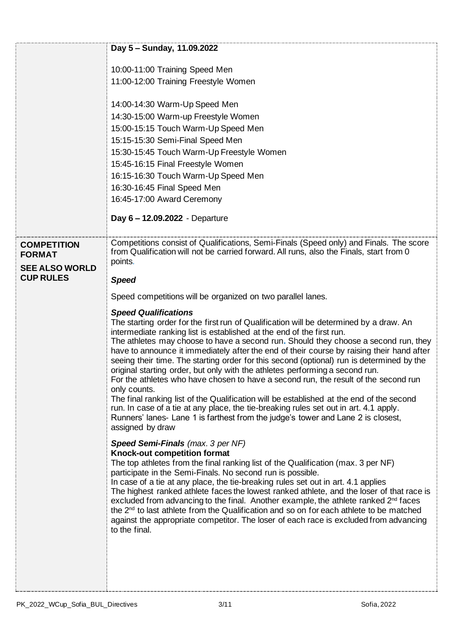|                                     | Day 5 - Sunday, 11.09.2022                                                                                                                                                                                                                                                                                                                                                                                                                                                                                                                                                                                                                                                                                                                                                                                                                                                                                                                                                                                                                                                                                                                                                                                                                                                                                                                                                                                                                                                                                                                                                                                                                                                                               |
|-------------------------------------|----------------------------------------------------------------------------------------------------------------------------------------------------------------------------------------------------------------------------------------------------------------------------------------------------------------------------------------------------------------------------------------------------------------------------------------------------------------------------------------------------------------------------------------------------------------------------------------------------------------------------------------------------------------------------------------------------------------------------------------------------------------------------------------------------------------------------------------------------------------------------------------------------------------------------------------------------------------------------------------------------------------------------------------------------------------------------------------------------------------------------------------------------------------------------------------------------------------------------------------------------------------------------------------------------------------------------------------------------------------------------------------------------------------------------------------------------------------------------------------------------------------------------------------------------------------------------------------------------------------------------------------------------------------------------------------------------------|
|                                     | 10:00-11:00 Training Speed Men                                                                                                                                                                                                                                                                                                                                                                                                                                                                                                                                                                                                                                                                                                                                                                                                                                                                                                                                                                                                                                                                                                                                                                                                                                                                                                                                                                                                                                                                                                                                                                                                                                                                           |
|                                     | 11:00-12:00 Training Freestyle Women                                                                                                                                                                                                                                                                                                                                                                                                                                                                                                                                                                                                                                                                                                                                                                                                                                                                                                                                                                                                                                                                                                                                                                                                                                                                                                                                                                                                                                                                                                                                                                                                                                                                     |
|                                     |                                                                                                                                                                                                                                                                                                                                                                                                                                                                                                                                                                                                                                                                                                                                                                                                                                                                                                                                                                                                                                                                                                                                                                                                                                                                                                                                                                                                                                                                                                                                                                                                                                                                                                          |
|                                     | 14:00-14:30 Warm-Up Speed Men                                                                                                                                                                                                                                                                                                                                                                                                                                                                                                                                                                                                                                                                                                                                                                                                                                                                                                                                                                                                                                                                                                                                                                                                                                                                                                                                                                                                                                                                                                                                                                                                                                                                            |
|                                     | 14:30-15:00 Warm-up Freestyle Women                                                                                                                                                                                                                                                                                                                                                                                                                                                                                                                                                                                                                                                                                                                                                                                                                                                                                                                                                                                                                                                                                                                                                                                                                                                                                                                                                                                                                                                                                                                                                                                                                                                                      |
|                                     | 15:00-15:15 Touch Warm-Up Speed Men                                                                                                                                                                                                                                                                                                                                                                                                                                                                                                                                                                                                                                                                                                                                                                                                                                                                                                                                                                                                                                                                                                                                                                                                                                                                                                                                                                                                                                                                                                                                                                                                                                                                      |
|                                     | 15:15-15:30 Semi-Final Speed Men                                                                                                                                                                                                                                                                                                                                                                                                                                                                                                                                                                                                                                                                                                                                                                                                                                                                                                                                                                                                                                                                                                                                                                                                                                                                                                                                                                                                                                                                                                                                                                                                                                                                         |
|                                     | 15:30-15:45 Touch Warm-Up Freestyle Women                                                                                                                                                                                                                                                                                                                                                                                                                                                                                                                                                                                                                                                                                                                                                                                                                                                                                                                                                                                                                                                                                                                                                                                                                                                                                                                                                                                                                                                                                                                                                                                                                                                                |
|                                     | 15:45-16:15 Final Freestyle Women                                                                                                                                                                                                                                                                                                                                                                                                                                                                                                                                                                                                                                                                                                                                                                                                                                                                                                                                                                                                                                                                                                                                                                                                                                                                                                                                                                                                                                                                                                                                                                                                                                                                        |
|                                     | 16:15-16:30 Touch Warm-Up Speed Men<br>16:30-16:45 Final Speed Men                                                                                                                                                                                                                                                                                                                                                                                                                                                                                                                                                                                                                                                                                                                                                                                                                                                                                                                                                                                                                                                                                                                                                                                                                                                                                                                                                                                                                                                                                                                                                                                                                                       |
|                                     | 16:45-17:00 Award Ceremony                                                                                                                                                                                                                                                                                                                                                                                                                                                                                                                                                                                                                                                                                                                                                                                                                                                                                                                                                                                                                                                                                                                                                                                                                                                                                                                                                                                                                                                                                                                                                                                                                                                                               |
|                                     |                                                                                                                                                                                                                                                                                                                                                                                                                                                                                                                                                                                                                                                                                                                                                                                                                                                                                                                                                                                                                                                                                                                                                                                                                                                                                                                                                                                                                                                                                                                                                                                                                                                                                                          |
|                                     | Day 6-12.09.2022 - Departure                                                                                                                                                                                                                                                                                                                                                                                                                                                                                                                                                                                                                                                                                                                                                                                                                                                                                                                                                                                                                                                                                                                                                                                                                                                                                                                                                                                                                                                                                                                                                                                                                                                                             |
|                                     | Competitions consist of Qualifications, Semi-Finals (Speed only) and Finals. The score                                                                                                                                                                                                                                                                                                                                                                                                                                                                                                                                                                                                                                                                                                                                                                                                                                                                                                                                                                                                                                                                                                                                                                                                                                                                                                                                                                                                                                                                                                                                                                                                                   |
| <b>COMPETITION</b><br><b>FORMAT</b> | from Qualification will not be carried forward. All runs, also the Finals, start from 0                                                                                                                                                                                                                                                                                                                                                                                                                                                                                                                                                                                                                                                                                                                                                                                                                                                                                                                                                                                                                                                                                                                                                                                                                                                                                                                                                                                                                                                                                                                                                                                                                  |
| <b>SEE ALSO WORLD</b>               | points.                                                                                                                                                                                                                                                                                                                                                                                                                                                                                                                                                                                                                                                                                                                                                                                                                                                                                                                                                                                                                                                                                                                                                                                                                                                                                                                                                                                                                                                                                                                                                                                                                                                                                                  |
| <b>CUP RULES</b>                    | <b>Speed</b>                                                                                                                                                                                                                                                                                                                                                                                                                                                                                                                                                                                                                                                                                                                                                                                                                                                                                                                                                                                                                                                                                                                                                                                                                                                                                                                                                                                                                                                                                                                                                                                                                                                                                             |
|                                     |                                                                                                                                                                                                                                                                                                                                                                                                                                                                                                                                                                                                                                                                                                                                                                                                                                                                                                                                                                                                                                                                                                                                                                                                                                                                                                                                                                                                                                                                                                                                                                                                                                                                                                          |
|                                     | Speed competitions will be organized on two parallel lanes.                                                                                                                                                                                                                                                                                                                                                                                                                                                                                                                                                                                                                                                                                                                                                                                                                                                                                                                                                                                                                                                                                                                                                                                                                                                                                                                                                                                                                                                                                                                                                                                                                                              |
|                                     | <b>Speed Qualifications</b><br>The starting order for the first run of Qualification will be determined by a draw. An<br>intermediate ranking list is established at the end of the first run.<br>The athletes may choose to have a second run. Should they choose a second run, they<br>have to announce it immediately after the end of their course by raising their hand after<br>seeing their time. The starting order for this second (optional) run is determined by the<br>original starting order, but only with the athletes performing a second run.<br>For the athletes who have chosen to have a second run, the result of the second run<br>only counts.<br>The final ranking list of the Qualification will be established at the end of the second<br>run. In case of a tie at any place, the tie-breaking rules set out in art. 4.1 apply.<br>Runners' lanes- Lane 1 is farthest from the judge's tower and Lane 2 is closest,<br>assigned by draw<br><b>Speed Semi-Finals</b> (max. 3 per NF)<br>Knock-out competition format<br>The top athletes from the final ranking list of the Qualification (max. 3 per NF)<br>participate in the Semi-Finals. No second run is possible.<br>In case of a tie at any place, the tie-breaking rules set out in art. 4.1 applies<br>The highest ranked athlete faces the lowest ranked athlete, and the loser of that race is<br>excluded from advancing to the final. Another example, the athlete ranked 2 <sup>nd</sup> faces<br>the 2 <sup>nd</sup> to last athlete from the Qualification and so on for each athlete to be matched<br>against the appropriate competitor. The loser of each race is excluded from advancing<br>to the final. |
|                                     |                                                                                                                                                                                                                                                                                                                                                                                                                                                                                                                                                                                                                                                                                                                                                                                                                                                                                                                                                                                                                                                                                                                                                                                                                                                                                                                                                                                                                                                                                                                                                                                                                                                                                                          |

÷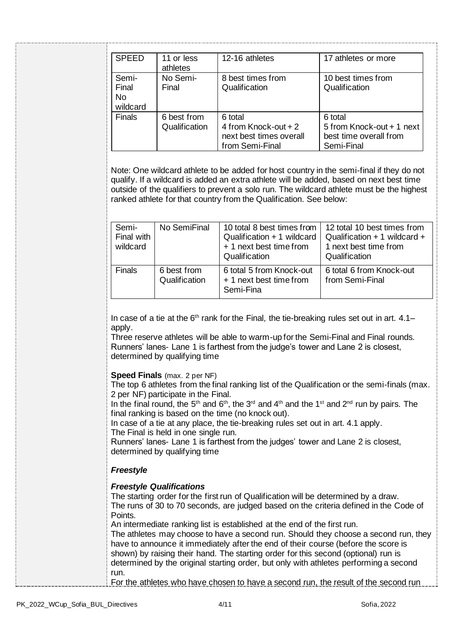| <b>SPEED</b>                            | 11 or less<br>athletes       | 12-16 athletes                                                                | 17 athletes or more                                                          |
|-----------------------------------------|------------------------------|-------------------------------------------------------------------------------|------------------------------------------------------------------------------|
| Semi-<br>Final<br><b>No</b><br>wildcard | No Semi-<br>Final            | 8 best times from<br>Qualification                                            | 10 best times from<br>Qualification                                          |
| <b>Finals</b>                           | 6 best from<br>Qualification | 6 total<br>4 from Knock-out + 2<br>next best times overall<br>from Semi-Final | 6 total<br>5 from Knock-out + 1 next<br>best time overall from<br>Semi-Final |

Note: One wildcard athlete to be added for host country in the semi-final if they do not qualify. If a wildcard is added an extra athlete will be added, based on next best time outside of the qualifiers to prevent a solo run. The wildcard athlete must be the highest ranked athlete for that country from the Qualification. See below:

| Semi-<br>Final with<br>wildcard | No SemiFinal                 | 10 total 8 best times from<br>Qualification + 1 wildcard<br>+ 1 next best time from<br>Qualification | 12 total 10 best times from<br>Qualification $+1$ wildcard $+$<br>1 next best time from<br>Qualification |
|---------------------------------|------------------------------|------------------------------------------------------------------------------------------------------|----------------------------------------------------------------------------------------------------------|
| <b>Finals</b>                   | 6 best from<br>Qualification | 6 total 5 from Knock-out<br>+ 1 next best time from<br>Semi-Fina                                     | 6 total 6 from Knock-out<br>from Semi-Final                                                              |

In case of a tie at the  $6<sup>th</sup>$  rank for the Final, the tie-breaking rules set out in art.  $4.1$ apply.

Three reserve athletes will be able to warm-up for the Semi-Final and Final rounds. Runners' lanes- Lane 1 is farthest from the judge's tower and Lane 2 is closest, determined by qualifying time

#### **Speed Finals** (max. 2 per NF)

The top 6 athletes from the final ranking list of the Qualification or the semi-finals (max. 2 per NF) participate in the Final.

In the final round, the 5<sup>th</sup> and 6<sup>th</sup>, the 3<sup>rd</sup> and 4<sup>th</sup> and the 1<sup>st</sup> and 2<sup>nd</sup> run by pairs. The final ranking is based on the time (no knock out).

In case of a tie at any place, the tie-breaking rules set out in art. 4.1 apply. The Final is held in one single run.

Runners' lanes- Lane 1 is farthest from the judges' tower and Lane 2 is closest, determined by qualifying time

### *Freestyle*

#### *Freestyle Qualifications*

The starting order for the first run of Qualification will be determined by a draw. The runs of 30 to 70 seconds, are judged based on the criteria defined in the Code of Points.

An intermediate ranking list is established at the end of the first run.

The athletes may choose to have a second run. Should they choose a second run, they have to announce it immediately after the end of their course (before the score is shown) by raising their hand. The starting order for this second (optional) run is determined by the original starting order, but only with athletes performing a second run.

For the athletes who have chosen to have a second run, the result of the second run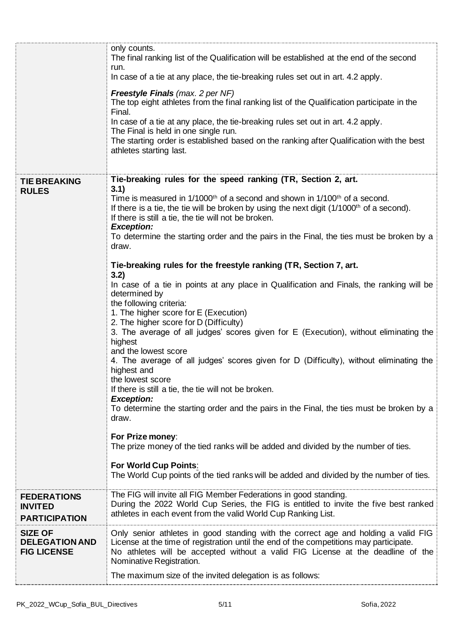|                                                               | only counts.<br>The final ranking list of the Qualification will be established at the end of the second<br>run.<br>In case of a tie at any place, the tie-breaking rules set out in art. 4.2 apply.                                                                                        |
|---------------------------------------------------------------|---------------------------------------------------------------------------------------------------------------------------------------------------------------------------------------------------------------------------------------------------------------------------------------------|
|                                                               | <b>Freestyle Finals</b> (max. 2 per NF)<br>The top eight athletes from the final ranking list of the Qualification participate in the<br>Final.                                                                                                                                             |
|                                                               | In case of a tie at any place, the tie-breaking rules set out in art. 4.2 apply.<br>The Final is held in one single run.                                                                                                                                                                    |
|                                                               | The starting order is established based on the ranking after Qualification with the best<br>athletes starting last.                                                                                                                                                                         |
| <b>TIE BREAKING</b><br><b>RULES</b>                           | Tie-breaking rules for the speed ranking (TR, Section 2, art.<br>3.1)                                                                                                                                                                                                                       |
|                                                               | Time is measured in 1/1000 <sup>th</sup> of a second and shown in 1/100 <sup>th</sup> of a second.<br>If there is a tie, the tie will be broken by using the next digit $(1/1000th$ of a second).<br>If there is still a tie, the tie will not be broken.<br><b>Exception:</b>              |
|                                                               | To determine the starting order and the pairs in the Final, the ties must be broken by a<br>draw.                                                                                                                                                                                           |
|                                                               | Tie-breaking rules for the freestyle ranking (TR, Section 7, art.<br>3.2)                                                                                                                                                                                                                   |
|                                                               | In case of a tie in points at any place in Qualification and Finals, the ranking will be<br>determined by<br>the following criteria:                                                                                                                                                        |
|                                                               | 1. The higher score for E (Execution)<br>2. The higher score for D (Difficulty)<br>3. The average of all judges' scores given for E (Execution), without eliminating the<br>highest                                                                                                         |
|                                                               | and the lowest score<br>4. The average of all judges' scores given for D (Difficulty), without eliminating the<br>highest and<br>the lowest score                                                                                                                                           |
|                                                               | If there is still a tie, the tie will not be broken.                                                                                                                                                                                                                                        |
|                                                               | <b>Exception:</b><br>To determine the starting order and the pairs in the Final, the ties must be broken by a<br>draw.                                                                                                                                                                      |
|                                                               | For Prize money:<br>The prize money of the tied ranks will be added and divided by the number of ties.                                                                                                                                                                                      |
|                                                               | For World Cup Points:<br>The World Cup points of the tied ranks will be added and divided by the number of ties.                                                                                                                                                                            |
| <b>FEDERATIONS</b><br><b>INVITED</b><br><b>PARTICIPATION</b>  | The FIG will invite all FIG Member Federations in good standing.<br>During the 2022 World Cup Series, the FIG is entitled to invite the five best ranked<br>athletes in each event from the valid World Cup Ranking List.                                                                   |
| <b>SIZE OF</b><br><b>DELEGATION AND</b><br><b>FIG LICENSE</b> | Only senior athletes in good standing with the correct age and holding a valid FIG<br>License at the time of registration until the end of the competitions may participate.<br>No athletes will be accepted without a valid FIG License at the deadline of the<br>Nominative Registration. |
|                                                               | The maximum size of the invited delegation is as follows:                                                                                                                                                                                                                                   |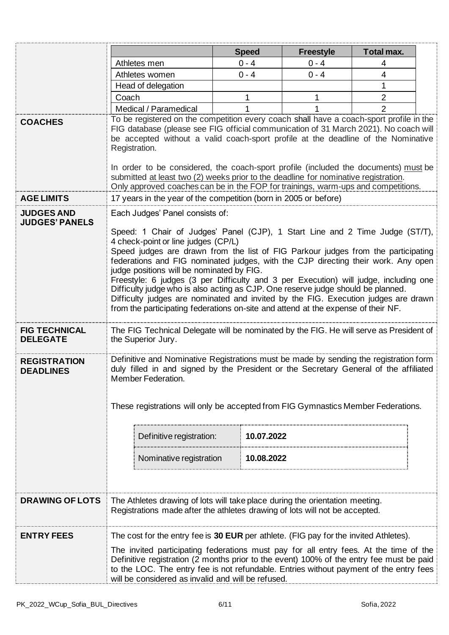|                                            |                                                                                                                                                                                                                                                                                                                                                                                                                                                                                                                                                                            | <b>Speed</b> | <b>Freestyle</b> | Total max.     |  |
|--------------------------------------------|----------------------------------------------------------------------------------------------------------------------------------------------------------------------------------------------------------------------------------------------------------------------------------------------------------------------------------------------------------------------------------------------------------------------------------------------------------------------------------------------------------------------------------------------------------------------------|--------------|------------------|----------------|--|
|                                            | Athletes men                                                                                                                                                                                                                                                                                                                                                                                                                                                                                                                                                               | $0 - 4$      | $0 - 4$          |                |  |
|                                            | Athletes women                                                                                                                                                                                                                                                                                                                                                                                                                                                                                                                                                             | $0 - 4$      | $0 - 4$          | 4              |  |
|                                            | Head of delegation                                                                                                                                                                                                                                                                                                                                                                                                                                                                                                                                                         |              |                  | 1              |  |
|                                            | Coach                                                                                                                                                                                                                                                                                                                                                                                                                                                                                                                                                                      | 1            |                  | $\overline{2}$ |  |
|                                            | Medical / Paramedical                                                                                                                                                                                                                                                                                                                                                                                                                                                                                                                                                      |              |                  | $\overline{2}$ |  |
| <b>COACHES</b>                             | To be registered on the competition every coach shall have a coach-sport profile in the<br>FIG database (please see FIG official communication of 31 March 2021). No coach will<br>be accepted without a valid coach-sport profile at the deadline of the Nominative<br>Registration.<br>In order to be considered, the coach-sport profile (included the documents) must be<br>submitted at least two (2) weeks prior to the deadline for nominative registration.<br>Only approved coaches can be in the FOP for trainings, warm-ups and competitions.                   |              |                  |                |  |
| <b>AGE LIMITS</b>                          | 17 years in the year of the competition (born in 2005 or before)                                                                                                                                                                                                                                                                                                                                                                                                                                                                                                           |              |                  |                |  |
| <b>JUDGES AND</b><br><b>JUDGES' PANELS</b> | Each Judges' Panel consists of:<br>Speed: 1 Chair of Judges' Panel (CJP), 1 Start Line and 2 Time Judge (ST/T),<br>4 check-point or line judges (CP/L)                                                                                                                                                                                                                                                                                                                                                                                                                     |              |                  |                |  |
|                                            | Speed judges are drawn from the list of FIG Parkour judges from the participating<br>federations and FIG nominated judges, with the CJP directing their work. Any open<br>judge positions will be nominated by FIG.<br>Freestyle: 6 judges (3 per Difficulty and 3 per Execution) will judge, including one<br>Difficulty judge who is also acting as CJP. One reserve judge should be planned.<br>Difficulty judges are nominated and invited by the FIG. Execution judges are drawn<br>from the participating federations on-site and attend at the expense of their NF. |              |                  |                |  |
| <b>FIG TECHNICAL</b><br><b>DELEGATE</b>    | The FIG Technical Delegate will be nominated by the FIG. He will serve as President of<br>the Superior Jury.                                                                                                                                                                                                                                                                                                                                                                                                                                                               |              |                  |                |  |
| <b>REGISTRATION</b><br><b>DEADLINES</b>    | Definitive and Nominative Registrations must be made by sending the registration form<br>duly filled in and signed by the President or the Secretary General of the affiliated<br>Member Federation.<br>These registrations will only be accepted from FIG Gymnastics Member Federations.                                                                                                                                                                                                                                                                                  |              |                  |                |  |
|                                            | Definitive registration:                                                                                                                                                                                                                                                                                                                                                                                                                                                                                                                                                   | 10.07.2022   |                  |                |  |
|                                            | Nominative registration                                                                                                                                                                                                                                                                                                                                                                                                                                                                                                                                                    | 10.08.2022   |                  |                |  |
| <b>DRAWING OF LOTS</b>                     | The Athletes drawing of lots will take place during the orientation meeting.<br>Registrations made after the athletes drawing of lots will not be accepted.                                                                                                                                                                                                                                                                                                                                                                                                                |              |                  |                |  |
| <b>ENTRY FEES</b>                          |                                                                                                                                                                                                                                                                                                                                                                                                                                                                                                                                                                            |              |                  |                |  |
|                                            | The cost for the entry fee is 30 EUR per athlete. (FIG pay for the invited Athletes).<br>The invited participating federations must pay for all entry fees. At the time of the<br>Definitive registration (2 months prior to the event) 100% of the entry fee must be paid<br>to the LOC. The entry fee is not refundable. Entries without payment of the entry fees<br>will be considered as invalid and will be refused.                                                                                                                                                 |              |                  |                |  |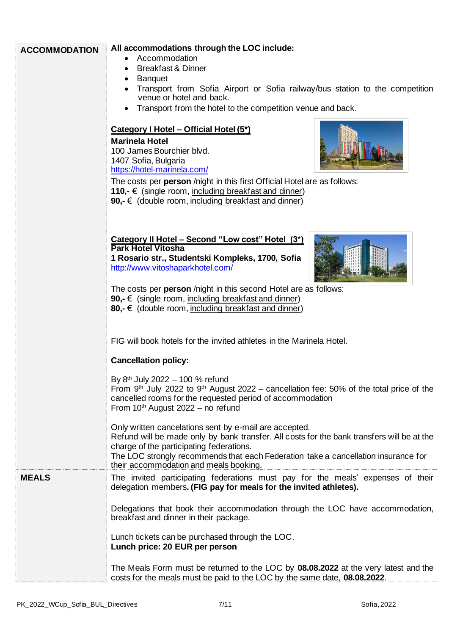| <b>ACCOMMODATION</b> | All accommodations through the LOC include:                                                                                                                                                                                                                                                                                      |  |  |
|----------------------|----------------------------------------------------------------------------------------------------------------------------------------------------------------------------------------------------------------------------------------------------------------------------------------------------------------------------------|--|--|
|                      | Accommodation                                                                                                                                                                                                                                                                                                                    |  |  |
|                      | <b>Breakfast &amp; Dinner</b>                                                                                                                                                                                                                                                                                                    |  |  |
|                      | <b>Banquet</b>                                                                                                                                                                                                                                                                                                                   |  |  |
|                      | Transport from Sofia Airport or Sofia railway/bus station to the competition<br>venue or hotel and back.                                                                                                                                                                                                                         |  |  |
|                      | Transport from the hotel to the competition venue and back.                                                                                                                                                                                                                                                                      |  |  |
|                      | Category I Hotel - Official Hotel (5*)<br><b>Marinela Hotel</b>                                                                                                                                                                                                                                                                  |  |  |
|                      | 100 James Bourchier blvd.<br>1407 Sofia, Bulgaria<br>https://hotel-marinela.com/                                                                                                                                                                                                                                                 |  |  |
|                      | The costs per <b>person</b> /night in this first Official Hotel are as follows:<br>110,- $\epsilon$ (single room, including breakfast and dinner)<br>90,- € (double room, including breakfast and dinner)                                                                                                                        |  |  |
|                      | Category II Hotel - Second "Low cost" Hotel (3*)<br><b>Park Hotel Vitosha</b><br>1 Rosario str., Studentski Kompleks, 1700, Sofia<br>http://www.vitoshaparkhotel.com/                                                                                                                                                            |  |  |
|                      | The costs per person /night in this second Hotel are as follows:<br>90,- $\epsilon$ (single room, including breakfast and dinner)<br>80,- $\in$ (double room, including breakfast and dinner)                                                                                                                                    |  |  |
|                      | FIG will book hotels for the invited athletes in the Marinela Hotel.<br><b>Cancellation policy:</b>                                                                                                                                                                                                                              |  |  |
|                      | By 8th July 2022 - 100 % refund<br>From $9th$ July 2022 to $9th$ August 2022 – cancellation fee: 50% of the total price of the<br>cancelled rooms for the requested period of accommodation<br>From $10^{th}$ August 2022 - no refund                                                                                            |  |  |
|                      | Only written cancelations sent by e-mail are accepted.<br>Refund will be made only by bank transfer. All costs for the bank transfers will be at the<br>charge of the participating federations.<br>The LOC strongly recommends that each Federation take a cancellation insurance for<br>their accommodation and meals booking. |  |  |
| <b>MEALS</b>         | The invited participating federations must pay for the meals' expenses of their<br>delegation members. (FIG pay for meals for the invited athletes).                                                                                                                                                                             |  |  |
|                      | Delegations that book their accommodation through the LOC have accommodation,<br>breakfast and dinner in their package.                                                                                                                                                                                                          |  |  |
|                      | Lunch tickets can be purchased through the LOC.<br>Lunch price: 20 EUR per person                                                                                                                                                                                                                                                |  |  |
|                      | The Meals Form must be returned to the LOC by 08.08.2022 at the very latest and the<br>costs for the meals must be paid to the LOC by the same date, 08.08.2022.                                                                                                                                                                 |  |  |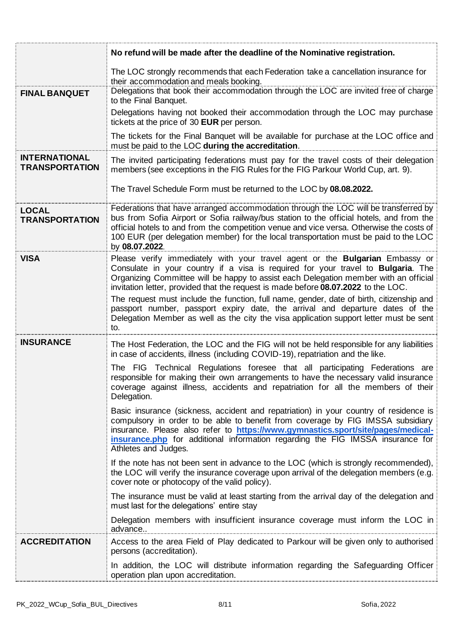|                                               | No refund will be made after the deadline of the Nominative registration.                                                                                                                                                                                                                                                                                                             |
|-----------------------------------------------|---------------------------------------------------------------------------------------------------------------------------------------------------------------------------------------------------------------------------------------------------------------------------------------------------------------------------------------------------------------------------------------|
| <b>FINAL BANQUET</b>                          | The LOC strongly recommends that each Federation take a cancellation insurance for<br>their accommodation and meals booking.<br>Delegations that book their accommodation through the LOC are invited free of charge                                                                                                                                                                  |
|                                               | to the Final Banquet.<br>Delegations having not booked their accommodation through the LOC may purchase<br>tickets at the price of 30 EUR per person.                                                                                                                                                                                                                                 |
|                                               | The tickets for the Final Banquet will be available for purchase at the LOC office and<br>must be paid to the LOC during the accreditation.                                                                                                                                                                                                                                           |
| <b>INTERNATIONAL</b><br><b>TRANSPORTATION</b> | The invited participating federations must pay for the travel costs of their delegation<br>members (see exceptions in the FIG Rules for the FIG Parkour World Cup, art. 9).                                                                                                                                                                                                           |
|                                               | The Travel Schedule Form must be returned to the LOC by 08.08.2022.                                                                                                                                                                                                                                                                                                                   |
| <b>LOCAL</b><br><b>TRANSPORTATION</b>         | Federations that have arranged accommodation through the LOC will be transferred by<br>bus from Sofia Airport or Sofia railway/bus station to the official hotels, and from the<br>official hotels to and from the competition venue and vice versa. Otherwise the costs of<br>100 EUR (per delegation member) for the local transportation must be paid to the LOC<br>by 08.07.2022. |
| <b>VISA</b>                                   | Please verify immediately with your travel agent or the <b>Bulgarian</b> Embassy or<br>Consulate in your country if a visa is required for your travel to <b>Bulgaria</b> . The<br>Organizing Committee will be happy to assist each Delegation member with an official<br>invitation letter, provided that the request is made before 08.07.2022 to the LOC.                         |
|                                               | The request must include the function, full name, gender, date of birth, citizenship and<br>passport number, passport expiry date, the arrival and departure dates of the<br>Delegation Member as well as the city the visa application support letter must be sent<br>to.                                                                                                            |
| <b>INSURANCE</b>                              | The Host Federation, the LOC and the FIG will not be held responsible for any liabilities<br>in case of accidents, illness (including COVID-19), repatriation and the like.                                                                                                                                                                                                           |
|                                               | The FIG Technical Regulations foresee that all participating Federations are<br>responsible for making their own arrangements to have the necessary valid insurance<br>coverage against illness, accidents and repatriation for all the members of their<br>Delegation.                                                                                                               |
|                                               | Basic insurance (sickness, accident and repatriation) in your country of residence is<br>compulsory in order to be able to benefit from coverage by FIG IMSSA subsidiary<br>insurance. Please also refer to https://www.gymnastics.sport/site/pages/medical-<br>insurance.php for additional information regarding the FIG IMSSA insurance for<br>Athletes and Judges.                |
|                                               | If the note has not been sent in advance to the LOC (which is strongly recommended),<br>the LOC will verify the insurance coverage upon arrival of the delegation members (e.g.<br>cover note or photocopy of the valid policy).                                                                                                                                                      |
|                                               | The insurance must be valid at least starting from the arrival day of the delegation and<br>must last for the delegations' entire stay                                                                                                                                                                                                                                                |
|                                               | Delegation members with insufficient insurance coverage must inform the LOC in<br>advance.                                                                                                                                                                                                                                                                                            |
| <b>ACCREDITATION</b>                          | Access to the area Field of Play dedicated to Parkour will be given only to authorised<br>persons (accreditation).                                                                                                                                                                                                                                                                    |
|                                               | In addition, the LOC will distribute information regarding the Safeguarding Officer<br>operation plan upon accreditation.                                                                                                                                                                                                                                                             |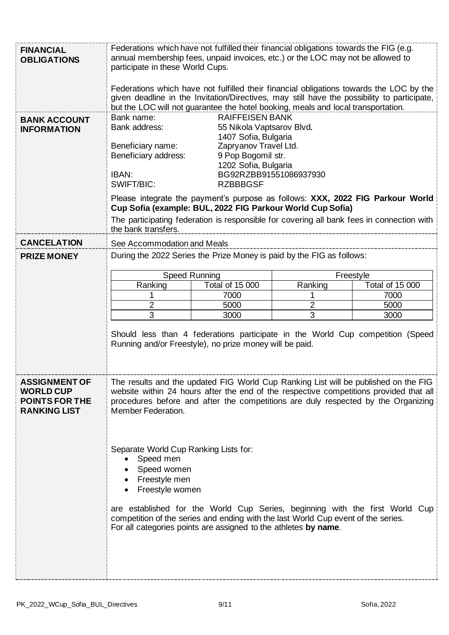| Federations which have not fulfilled their financial obligations towards the LOC by the<br>given deadline in the Invitation/Directives, may still have the possibility to participate,<br>but the LOC will not guarantee the hotel booking, meals and local transportation.<br>Please integrate the payment's purpose as follows: XXX, 2022 FIG Parkour World |  |  |
|---------------------------------------------------------------------------------------------------------------------------------------------------------------------------------------------------------------------------------------------------------------------------------------------------------------------------------------------------------------|--|--|
|                                                                                                                                                                                                                                                                                                                                                               |  |  |
|                                                                                                                                                                                                                                                                                                                                                               |  |  |
| The participating federation is responsible for covering all bank fees in connection with                                                                                                                                                                                                                                                                     |  |  |
|                                                                                                                                                                                                                                                                                                                                                               |  |  |
|                                                                                                                                                                                                                                                                                                                                                               |  |  |
|                                                                                                                                                                                                                                                                                                                                                               |  |  |
| Total of 15 000                                                                                                                                                                                                                                                                                                                                               |  |  |
| 7000<br>5000                                                                                                                                                                                                                                                                                                                                                  |  |  |
| 3000                                                                                                                                                                                                                                                                                                                                                          |  |  |
| Should less than 4 federations participate in the World Cup competition (Speed                                                                                                                                                                                                                                                                                |  |  |
| The results and the updated FIG World Cup Ranking List will be published on the FIG<br>website within 24 hours after the end of the respective competitions provided that all<br>procedures before and after the competitions are duly respected by the Organizing<br>Member Federation.                                                                      |  |  |
| Separate World Cup Ranking Lists for:<br>Speed men<br>Speed women<br>Freestyle men<br>Freestyle women<br>are established for the World Cup Series, beginning with the first World Cup<br>competition of the series and ending with the last World Cup event of the series.<br>For all categories points are assigned to the athletes by name.                 |  |  |
|                                                                                                                                                                                                                                                                                                                                                               |  |  |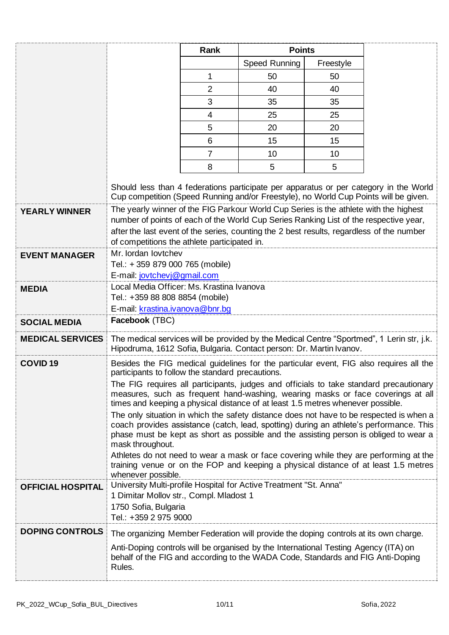|                          |                                                                                                                                                                                                                                                                                                                             | Rank<br><b>Points</b> |               |           |                                                                                                                                                                                                                                                                                                                                                                      |
|--------------------------|-----------------------------------------------------------------------------------------------------------------------------------------------------------------------------------------------------------------------------------------------------------------------------------------------------------------------------|-----------------------|---------------|-----------|----------------------------------------------------------------------------------------------------------------------------------------------------------------------------------------------------------------------------------------------------------------------------------------------------------------------------------------------------------------------|
|                          |                                                                                                                                                                                                                                                                                                                             |                       | Speed Running | Freestyle |                                                                                                                                                                                                                                                                                                                                                                      |
|                          |                                                                                                                                                                                                                                                                                                                             | $\mathbf{1}$          | 50            | 50        |                                                                                                                                                                                                                                                                                                                                                                      |
|                          |                                                                                                                                                                                                                                                                                                                             | $\overline{2}$        | 40            | 40        |                                                                                                                                                                                                                                                                                                                                                                      |
|                          |                                                                                                                                                                                                                                                                                                                             | 3                     | 35            | 35        |                                                                                                                                                                                                                                                                                                                                                                      |
|                          |                                                                                                                                                                                                                                                                                                                             | 4                     | 25            | 25        |                                                                                                                                                                                                                                                                                                                                                                      |
|                          |                                                                                                                                                                                                                                                                                                                             | 5                     | 20            | 20        |                                                                                                                                                                                                                                                                                                                                                                      |
|                          |                                                                                                                                                                                                                                                                                                                             | 6                     | 15            | 15        |                                                                                                                                                                                                                                                                                                                                                                      |
|                          |                                                                                                                                                                                                                                                                                                                             | $\overline{7}$        | 10            | 10        |                                                                                                                                                                                                                                                                                                                                                                      |
|                          |                                                                                                                                                                                                                                                                                                                             | 8                     | 5             | 5         |                                                                                                                                                                                                                                                                                                                                                                      |
|                          |                                                                                                                                                                                                                                                                                                                             |                       |               |           | Should less than 4 federations participate per apparatus or per category in the World<br>Cup competition (Speed Running and/or Freestyle), no World Cup Points will be given.                                                                                                                                                                                        |
| <b>YEARLY WINNER</b>     | The yearly winner of the FIG Parkour World Cup Series is the athlete with the highest<br>number of points of each of the World Cup Series Ranking List of the respective year,<br>after the last event of the series, counting the 2 best results, regardless of the number<br>of competitions the athlete participated in. |                       |               |           |                                                                                                                                                                                                                                                                                                                                                                      |
| <b>EVENT MANAGER</b>     | Mr. lordan lovtchev<br>Tel.: +359 879 000 765 (mobile)<br>E-mail: jovtchevj@gmail.com                                                                                                                                                                                                                                       |                       |               |           |                                                                                                                                                                                                                                                                                                                                                                      |
| <b>MEDIA</b>             | Local Media Officer: Ms. Krastina Ivanova<br>Tel.: +359 88 808 8854 (mobile)<br>E-mail: krastina.ivanova@bnr.bg                                                                                                                                                                                                             |                       |               |           |                                                                                                                                                                                                                                                                                                                                                                      |
| <b>SOCIAL MEDIA</b>      | Facebook (TBC)                                                                                                                                                                                                                                                                                                              |                       |               |           |                                                                                                                                                                                                                                                                                                                                                                      |
|                          | MEDICAL SERVICES The medical services will be provided by the Medical Centre "Sportmed", 1 Lerin str, j.k.<br>Hipodruma, 1612 Sofia, Bulgaria. Contact person: Dr. Martin Ivanov.                                                                                                                                           |                       |               |           |                                                                                                                                                                                                                                                                                                                                                                      |
| COVID <sub>19</sub>      | participants to follow the standard precautions.                                                                                                                                                                                                                                                                            |                       |               |           | Besides the FIG medical guidelines for the particular event, FIG also requires all the                                                                                                                                                                                                                                                                               |
|                          | times and keeping a physical distance of at least 1.5 metres whenever possible.                                                                                                                                                                                                                                             |                       |               |           | The FIG requires all participants, judges and officials to take standard precautionary<br>measures, such as frequent hand-washing, wearing masks or face coverings at all                                                                                                                                                                                            |
|                          | mask throughout.                                                                                                                                                                                                                                                                                                            |                       |               |           | The only situation in which the safety distance does not have to be respected is when a<br>coach provides assistance (catch, lead, spotting) during an athlete's performance. This<br>phase must be kept as short as possible and the assisting person is obliged to wear a<br>Athletes do not need to wear a mask or face covering while they are performing at the |
|                          | whenever possible.                                                                                                                                                                                                                                                                                                          |                       |               |           | training venue or on the FOP and keeping a physical distance of at least 1.5 metres                                                                                                                                                                                                                                                                                  |
| <b>OFFICIAL HOSPITAL</b> | University Multi-profile Hospital for Active Treatment "St. Anna"<br>1 Dimitar Mollov str., Compl. Mladost 1<br>1750 Sofia, Bulgaria<br>Tel.: +359 2 975 9000                                                                                                                                                               |                       |               |           |                                                                                                                                                                                                                                                                                                                                                                      |
| <b>DOPING CONTROLS</b>   | The organizing Member Federation will provide the doping controls at its own charge.                                                                                                                                                                                                                                        |                       |               |           |                                                                                                                                                                                                                                                                                                                                                                      |
|                          | Anti-Doping controls will be organised by the International Testing Agency (ITA) on<br>behalf of the FIG and according to the WADA Code, Standards and FIG Anti-Doping<br>Rules.                                                                                                                                            |                       |               |           |                                                                                                                                                                                                                                                                                                                                                                      |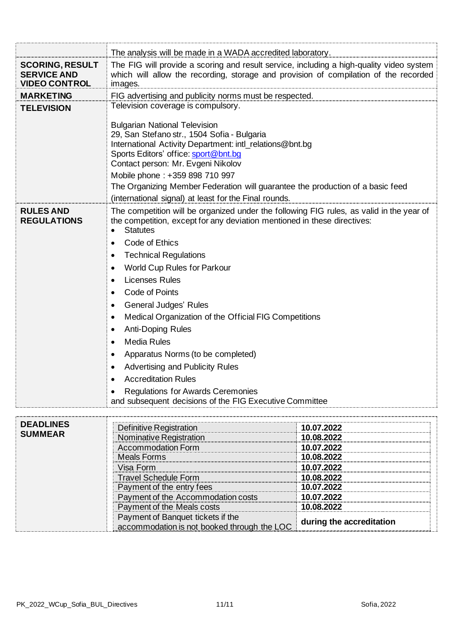|                                                                             | The analysis will be made in a WADA accredited laboratory.                                                                                                                                                                                                                                                                                                                                                                                                                                                                                                                                                                                                                                                                            |            |  |  |
|-----------------------------------------------------------------------------|---------------------------------------------------------------------------------------------------------------------------------------------------------------------------------------------------------------------------------------------------------------------------------------------------------------------------------------------------------------------------------------------------------------------------------------------------------------------------------------------------------------------------------------------------------------------------------------------------------------------------------------------------------------------------------------------------------------------------------------|------------|--|--|
| <b>SCORING, RESULT</b><br><b>SERVICE AND</b><br><b>VIDEO CONTROL</b>        | The FIG will provide a scoring and result service, including a high-quality video system<br>which will allow the recording, storage and provision of compilation of the recorded<br>images.                                                                                                                                                                                                                                                                                                                                                                                                                                                                                                                                           |            |  |  |
| <b>MARKETING</b>                                                            | FIG advertising and publicity norms must be respected.                                                                                                                                                                                                                                                                                                                                                                                                                                                                                                                                                                                                                                                                                |            |  |  |
| <b>TELEVISION</b>                                                           | Television coverage is compulsory.                                                                                                                                                                                                                                                                                                                                                                                                                                                                                                                                                                                                                                                                                                    |            |  |  |
|                                                                             | <b>Bulgarian National Television</b><br>29, San Stefano str., 1504 Sofia - Bulgaria<br>International Activity Department: intl_relations@bnt.bg<br>Sports Editors' office: sport@bnt.bg<br>Contact person: Mr. Evgeni Nikolov<br>Mobile phone: +359 898 710 997<br>The Organizing Member Federation will guarantee the production of a basic feed                                                                                                                                                                                                                                                                                                                                                                                     |            |  |  |
| <b>RULES AND</b><br><b>REGULATIONS</b>                                      | (international signal) at least for the Final rounds.<br>The competition will be organized under the following FIG rules, as valid in the year of<br>the competition, except for any deviation mentioned in these directives:<br><b>Statutes</b><br>Code of Ethics<br><b>Technical Regulations</b><br>٠<br><b>World Cup Rules for Parkour</b><br>٠<br><b>Licenses Rules</b><br>٠<br>Code of Points<br>٠<br>General Judges' Rules<br>٠<br>Medical Organization of the Official FIG Competitions<br>٠<br><b>Anti-Doping Rules</b><br>$\bullet$<br><b>Media Rules</b><br>٠<br>Apparatus Norms (to be completed)<br>٠<br><b>Advertising and Publicity Rules</b><br><b>Accreditation Rules</b><br><b>Regulations for Awards Ceremonies</b> |            |  |  |
| <b>DEADLINES</b><br><b>SUMMEAR</b>                                          | and subsequent decisions of the FIG Executive Committee<br>Definitive Registration                                                                                                                                                                                                                                                                                                                                                                                                                                                                                                                                                                                                                                                    | 10.07.2022 |  |  |
|                                                                             | Nominative Registration                                                                                                                                                                                                                                                                                                                                                                                                                                                                                                                                                                                                                                                                                                               | 10.08.2022 |  |  |
| <b>Accommodation Form</b><br>10.07.2022<br><b>Meals Forms</b><br>10.08.2022 |                                                                                                                                                                                                                                                                                                                                                                                                                                                                                                                                                                                                                                                                                                                                       |            |  |  |
|                                                                             | 10.07.2022<br>Visa Form                                                                                                                                                                                                                                                                                                                                                                                                                                                                                                                                                                                                                                                                                                               |            |  |  |

Travel Schedule Form **10.08.2022** Payment of the entry fees **10.07.2022** Payment of the Accommodation costs **10.07.2022** Payment of the Meals costs **10.08.2022**

accommodation is not booked through the LOC **during the accreditation**

Payment of Banquet tickets if the